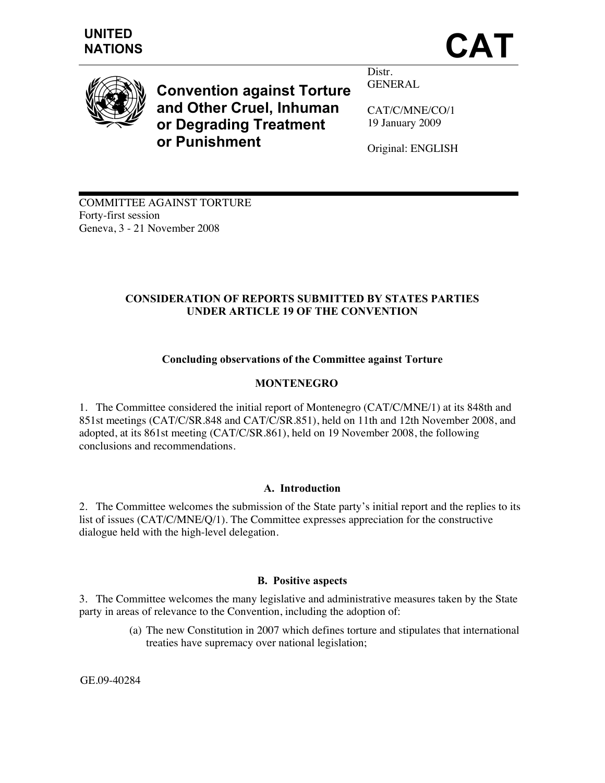

**Convention against Torture and Other Cruel, Inhuman or Degrading Treatment or Punishment** 

Distr. GENERAL

CAT/C/MNE/CO/1 19 January 2009

Original: ENGLISH

COMMITTEE AGAINST TORTURE Forty-first session Geneva, 3 - 21 November 2008

# **CONSIDERATION OF REPORTS SUBMITTED BY STATES PARTIES UNDER ARTICLE 19 OF THE CONVENTION**

# **Concluding observations of the Committee against Torture**

# **MONTENEGRO**

1. The Committee considered the initial report of Montenegro (CAT/C/MNE/1) at its 848th and 851st meetings (CAT/C/SR.848 and CAT/C/SR.851), held on 11th and 12th November 2008, and adopted, at its 861st meeting (CAT/C/SR.861), held on 19 November 2008, the following conclusions and recommendations.

## **A. Introduction**

2. The Committee welcomes the submission of the State party's initial report and the replies to its list of issues (CAT/C/MNE/Q/1). The Committee expresses appreciation for the constructive dialogue held with the high-level delegation.

### **B. Positive aspects**

3. The Committee welcomes the many legislative and administrative measures taken by the State party in areas of relevance to the Convention, including the adoption of:

> (a) The new Constitution in 2007 which defines torture and stipulates that international treaties have supremacy over national legislation;

GE.09-40284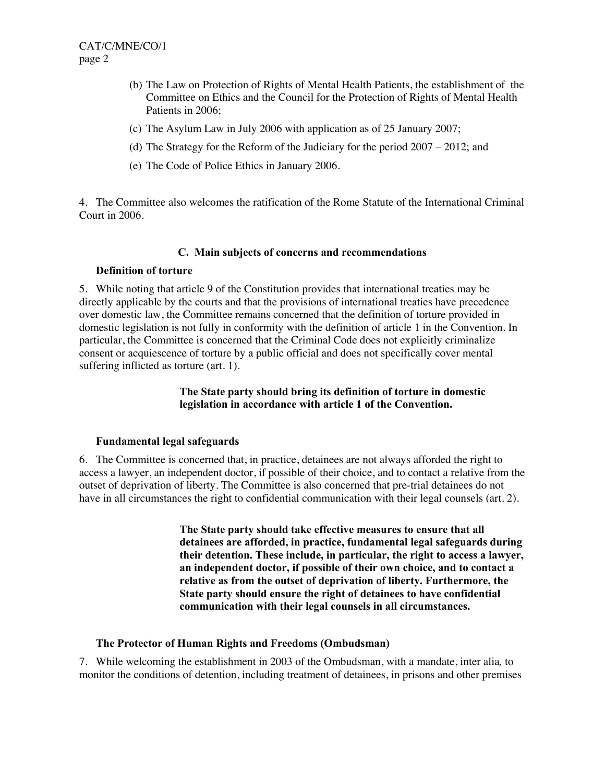- (b) The Law on Protection of Rights of Mental Health Patients, the establishment of the Committee on Ethics and the Council for the Protection of Rights of Mental Health Patients in 2006;
- (c) The Asylum Law in July 2006 with application as of 25 January 2007;
- (d) The Strategy for the Reform of the Judiciary for the period 2007 2012; and
- (e) The Code of Police Ethics in January 2006.

4. The Committee also welcomes the ratification of the Rome Statute of the International Criminal Court in 2006.

#### **C. Main subjects of concerns and recommendations**

#### **Definition of torture**

5. While noting that article 9 of the Constitution provides that international treaties may be directly applicable by the courts and that the provisions of international treaties have precedence over domestic law, the Committee remains concerned that the definition of torture provided in domestic legislation is not fully in conformity with the definition of article 1 in the Convention. In particular, the Committee is concerned that the Criminal Code does not explicitly criminalize consent or acquiescence of torture by a public official and does not specifically cover mental suffering inflicted as torture (art. 1).

### **The State party should bring its definition of torture in domestic legislation in accordance with article 1 of the Convention.**

### **Fundamental legal safeguards**

6. The Committee is concerned that, in practice, detainees are not always afforded the right to access a lawyer, an independent doctor, if possible of their choice, and to contact a relative from the outset of deprivation of liberty. The Committee is also concerned that pre-trial detainees do not have in all circumstances the right to confidential communication with their legal counsels (art. 2).

> **The State party should take effective measures to ensure that all detainees are afforded, in practice, fundamental legal safeguards during their detention. These include, in particular, the right to access a lawyer, an independent doctor, if possible of their own choice, and to contact a relative as from the outset of deprivation of liberty. Furthermore, the State party should ensure the right of detainees to have confidential communication with their legal counsels in all circumstances.**

#### **The Protector of Human Rights and Freedoms (Ombudsman)**

7. While welcoming the establishment in 2003 of the Ombudsman, with a mandate, inter alia*,* to monitor the conditions of detention, including treatment of detainees, in prisons and other premises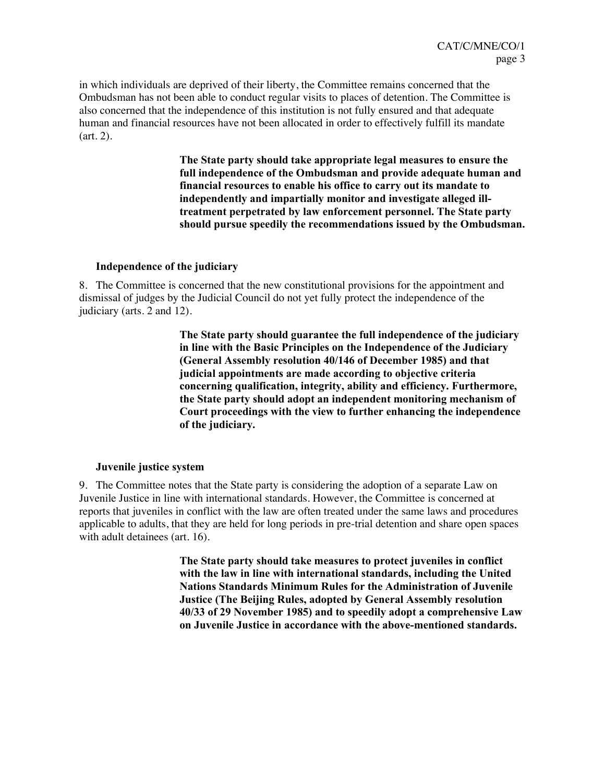in which individuals are deprived of their liberty, the Committee remains concerned that the Ombudsman has not been able to conduct regular visits to places of detention. The Committee is also concerned that the independence of this institution is not fully ensured and that adequate human and financial resources have not been allocated in order to effectively fulfill its mandate (art. 2).

> **The State party should take appropriate legal measures to ensure the full independence of the Ombudsman and provide adequate human and financial resources to enable his office to carry out its mandate to independently and impartially monitor and investigate alleged illtreatment perpetrated by law enforcement personnel. The State party should pursue speedily the recommendations issued by the Ombudsman.**

#### **Independence of the judiciary**

8. The Committee is concerned that the new constitutional provisions for the appointment and dismissal of judges by the Judicial Council do not yet fully protect the independence of the judiciary (arts. 2 and 12).

> **The State party should guarantee the full independence of the judiciary in line with the Basic Principles on the Independence of the Judiciary (General Assembly resolution 40/146 of December 1985) and that judicial appointments are made according to objective criteria concerning qualification, integrity, ability and efficiency. Furthermore, the State party should adopt an independent monitoring mechanism of Court proceedings with the view to further enhancing the independence of the judiciary.**

### **Juvenile justice system**

9. The Committee notes that the State party is considering the adoption of a separate Law on Juvenile Justice in line with international standards. However, the Committee is concerned at reports that juveniles in conflict with the law are often treated under the same laws and procedures applicable to adults, that they are held for long periods in pre-trial detention and share open spaces with adult detainees (art. 16).

> **The State party should take measures to protect juveniles in conflict with the law in line with international standards, including the United Nations Standards Minimum Rules for the Administration of Juvenile Justice (The Beijing Rules, adopted by General Assembly resolution 40/33 of 29 November 1985) and to speedily adopt a comprehensive Law on Juvenile Justice in accordance with the above-mentioned standards.**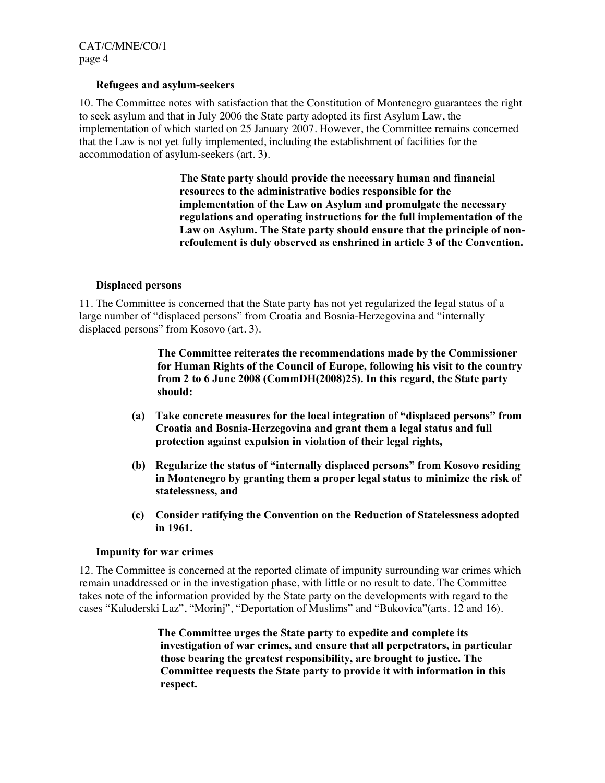CAT/C/MNE/CO/1 page 4

#### **Refugees and asylum-seekers**

10. The Committee notes with satisfaction that the Constitution of Montenegro guarantees the right to seek asylum and that in July 2006 the State party adopted its first Asylum Law, the implementation of which started on 25 January 2007. However, the Committee remains concerned that the Law is not yet fully implemented, including the establishment of facilities for the accommodation of asylum-seekers (art. 3).

> **The State party should provide the necessary human and financial resources to the administrative bodies responsible for the implementation of the Law on Asylum and promulgate the necessary regulations and operating instructions for the full implementation of the Law on Asylum. The State party should ensure that the principle of nonrefoulement is duly observed as enshrined in article 3 of the Convention.**

### **Displaced persons**

11. The Committee is concerned that the State party has not yet regularized the legal status of a large number of "displaced persons" from Croatia and Bosnia-Herzegovina and "internally displaced persons" from Kosovo (art. 3).

> **The Committee reiterates the recommendations made by the Commissioner for Human Rights of the Council of Europe, following his visit to the country from 2 to 6 June 2008 (CommDH(2008)25). In this regard, the State party should:**

- **(a) Take concrete measures for the local integration of "displaced persons" from Croatia and Bosnia-Herzegovina and grant them a legal status and full protection against expulsion in violation of their legal rights,**
- **(b) Regularize the status of "internally displaced persons" from Kosovo residing in Montenegro by granting them a proper legal status to minimize the risk of statelessness, and**
- **(c) Consider ratifying the Convention on the Reduction of Statelessness adopted in 1961.**

#### **Impunity for war crimes**

12. The Committee is concerned at the reported climate of impunity surrounding war crimes which remain unaddressed or in the investigation phase, with little or no result to date. The Committee takes note of the information provided by the State party on the developments with regard to the cases "Kaluderski Laz", "Morinj", "Deportation of Muslims" and "Bukovica"(arts. 12 and 16).

> **The Committee urges the State party to expedite and complete its investigation of war crimes, and ensure that all perpetrators, in particular those bearing the greatest responsibility, are brought to justice. The Committee requests the State party to provide it with information in this respect.**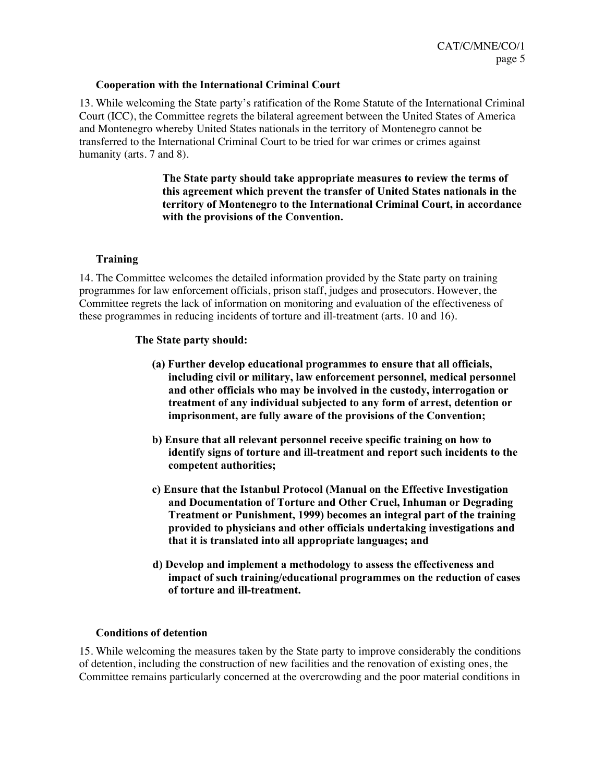### **Cooperation with the International Criminal Court**

13. While welcoming the State party's ratification of the Rome Statute of the International Criminal Court (ICC), the Committee regrets the bilateral agreement between the United States of America and Montenegro whereby United States nationals in the territory of Montenegro cannot be transferred to the International Criminal Court to be tried for war crimes or crimes against humanity (arts. 7 and 8).

> **The State party should take appropriate measures to review the terms of this agreement which prevent the transfer of United States nationals in the territory of Montenegro to the International Criminal Court, in accordance with the provisions of the Convention.**

### **Training**

14. The Committee welcomes the detailed information provided by the State party on training programmes for law enforcement officials, prison staff, judges and prosecutors. However, the Committee regrets the lack of information on monitoring and evaluation of the effectiveness of these programmes in reducing incidents of torture and ill-treatment (arts. 10 and 16).

### **The State party should:**

- **(a) Further develop educational programmes to ensure that all officials, including civil or military, law enforcement personnel, medical personnel and other officials who may be involved in the custody, interrogation or treatment of any individual subjected to any form of arrest, detention or imprisonment, are fully aware of the provisions of the Convention;**
- **b) Ensure that all relevant personnel receive specific training on how to identify signs of torture and ill-treatment and report such incidents to the competent authorities;**
- **c) Ensure that the Istanbul Protocol (Manual on the Effective Investigation and Documentation of Torture and Other Cruel, Inhuman or Degrading Treatment or Punishment, 1999) becomes an integral part of the training provided to physicians and other officials undertaking investigations and that it is translated into all appropriate languages; and**
- **d) Develop and implement a methodology to assess the effectiveness and impact of such training/educational programmes on the reduction of cases of torture and ill-treatment.**

### **Conditions of detention**

15. While welcoming the measures taken by the State party to improve considerably the conditions of detention, including the construction of new facilities and the renovation of existing ones, the Committee remains particularly concerned at the overcrowding and the poor material conditions in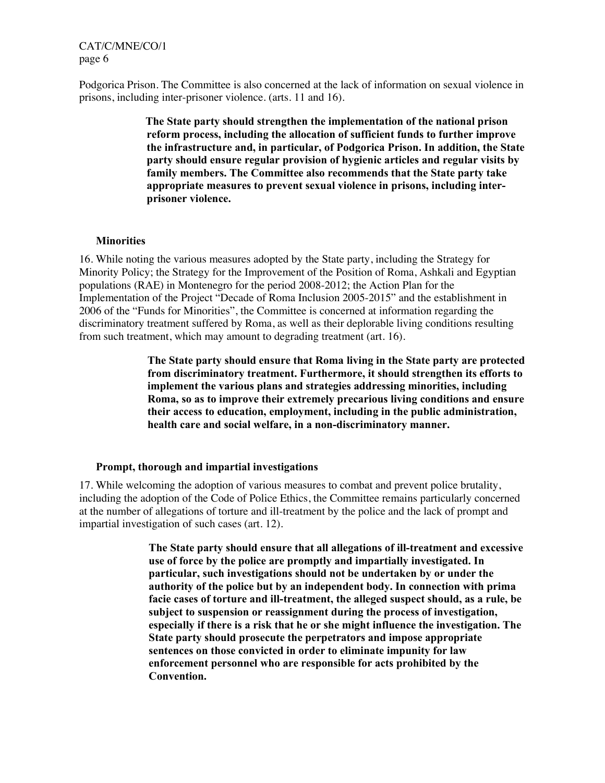CAT/C/MNE/CO/1 page 6

Podgorica Prison. The Committee is also concerned at the lack of information on sexual violence in prisons, including inter-prisoner violence. (arts. 11 and 16).

> **The State party should strengthen the implementation of the national prison reform process, including the allocation of sufficient funds to further improve the infrastructure and, in particular, of Podgorica Prison. In addition, the State party should ensure regular provision of hygienic articles and regular visits by family members. The Committee also recommends that the State party take appropriate measures to prevent sexual violence in prisons, including interprisoner violence.**

#### **Minorities**

16. While noting the various measures adopted by the State party, including the Strategy for Minority Policy; the Strategy for the Improvement of the Position of Roma, Ashkali and Egyptian populations (RAE) in Montenegro for the period 2008-2012; the Action Plan for the Implementation of the Project "Decade of Roma Inclusion 2005-2015" and the establishment in 2006 of the "Funds for Minorities", the Committee is concerned at information regarding the discriminatory treatment suffered by Roma, as well as their deplorable living conditions resulting from such treatment, which may amount to degrading treatment (art. 16).

> **The State party should ensure that Roma living in the State party are protected from discriminatory treatment. Furthermore, it should strengthen its efforts to implement the various plans and strategies addressing minorities, including Roma, so as to improve their extremely precarious living conditions and ensure their access to education, employment, including in the public administration, health care and social welfare, in a non-discriminatory manner.**

#### **Prompt, thorough and impartial investigations**

17. While welcoming the adoption of various measures to combat and prevent police brutality, including the adoption of the Code of Police Ethics, the Committee remains particularly concerned at the number of allegations of torture and ill-treatment by the police and the lack of prompt and impartial investigation of such cases (art. 12).

> **The State party should ensure that all allegations of ill-treatment and excessive use of force by the police are promptly and impartially investigated. In particular, such investigations should not be undertaken by or under the authority of the police but by an independent body. In connection with prima facie cases of torture and ill-treatment, the alleged suspect should, as a rule, be subject to suspension or reassignment during the process of investigation, especially if there is a risk that he or she might influence the investigation. The State party should prosecute the perpetrators and impose appropriate sentences on those convicted in order to eliminate impunity for law enforcement personnel who are responsible for acts prohibited by the Convention.**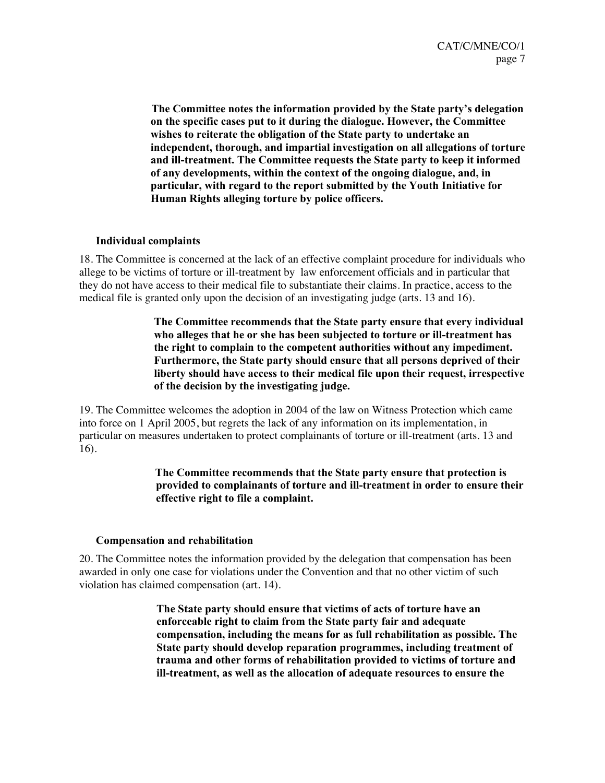**The Committee notes the information provided by the State party's delegation on the specific cases put to it during the dialogue. However, the Committee wishes to reiterate the obligation of the State party to undertake an independent, thorough, and impartial investigation on all allegations of torture and ill-treatment. The Committee requests the State party to keep it informed of any developments, within the context of the ongoing dialogue, and, in particular, with regard to the report submitted by the Youth Initiative for Human Rights alleging torture by police officers.** 

### **Individual complaints**

18. The Committee is concerned at the lack of an effective complaint procedure for individuals who allege to be victims of torture or ill-treatment by law enforcement officials and in particular that they do not have access to their medical file to substantiate their claims. In practice, access to the medical file is granted only upon the decision of an investigating judge (arts. 13 and 16).

> **The Committee recommends that the State party ensure that every individual who alleges that he or she has been subjected to torture or ill-treatment has the right to complain to the competent authorities without any impediment. Furthermore, the State party should ensure that all persons deprived of their liberty should have access to their medical file upon their request, irrespective of the decision by the investigating judge.**

19. The Committee welcomes the adoption in 2004 of the law on Witness Protection which came into force on 1 April 2005, but regrets the lack of any information on its implementation, in particular on measures undertaken to protect complainants of torture or ill-treatment (arts. 13 and 16).

## **The Committee recommends that the State party ensure that protection is provided to complainants of torture and ill-treatment in order to ensure their effective right to file a complaint.**

### **Compensation and rehabilitation**

20. The Committee notes the information provided by the delegation that compensation has been awarded in only one case for violations under the Convention and that no other victim of such violation has claimed compensation (art. 14).

> **The State party should ensure that victims of acts of torture have an enforceable right to claim from the State party fair and adequate compensation, including the means for as full rehabilitation as possible. The State party should develop reparation programmes, including treatment of trauma and other forms of rehabilitation provided to victims of torture and ill-treatment, as well as the allocation of adequate resources to ensure the**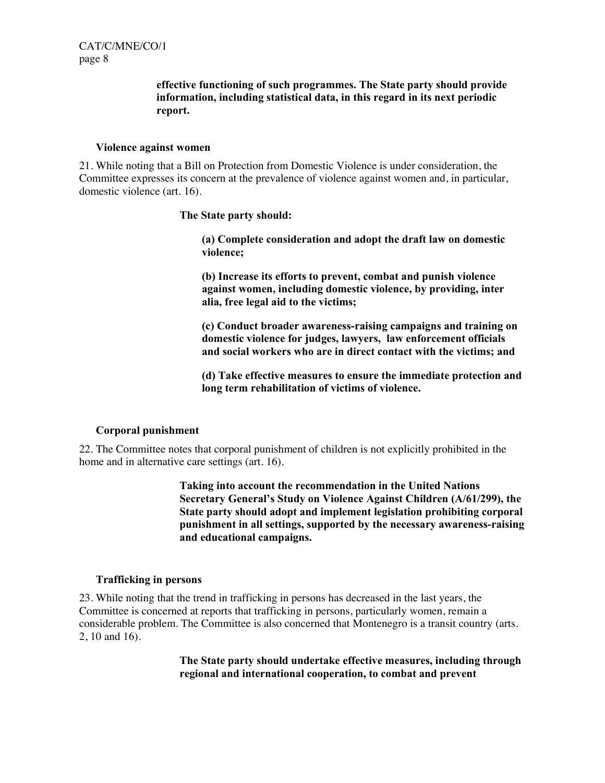## **effective functioning of such programmes. The State party should provide information, including statistical data, in this regard in its next periodic report.**

#### **Violence against women**

21. While noting that a Bill on Protection from Domestic Violence is under consideration, the Committee expresses its concern at the prevalence of violence against women and, in particular, domestic violence (art. 16).

**The State party should:** 

**(a) Complete consideration and adopt the draft law on domestic violence;** 

**(b) Increase its efforts to prevent, combat and punish violence against women, including domestic violence, by providing, inter alia, free legal aid to the victims;** 

**(c) Conduct broader awareness-raising campaigns and training on domestic violence for judges, lawyers, law enforcement officials and social workers who are in direct contact with the victims; and** 

**(d) Take effective measures to ensure the immediate protection and long term rehabilitation of victims of violence.** 

## **Corporal punishment**

22. The Committee notes that corporal punishment of children is not explicitly prohibited in the home and in alternative care settings (art. 16).

> **Taking into account the recommendation in the United Nations Secretary General's Study on Violence Against Children (A/61/299), the State party should adopt and implement legislation prohibiting corporal punishment in all settings, supported by the necessary awareness-raising and educational campaigns.**

### **Trafficking in persons**

23. While noting that the trend in trafficking in persons has decreased in the last years, the Committee is concerned at reports that trafficking in persons, particularly women, remain a considerable problem. The Committee is also concerned that Montenegro is a transit country (arts. 2, 10 and 16).

> **The State party should undertake effective measures, including through regional and international cooperation, to combat and prevent**